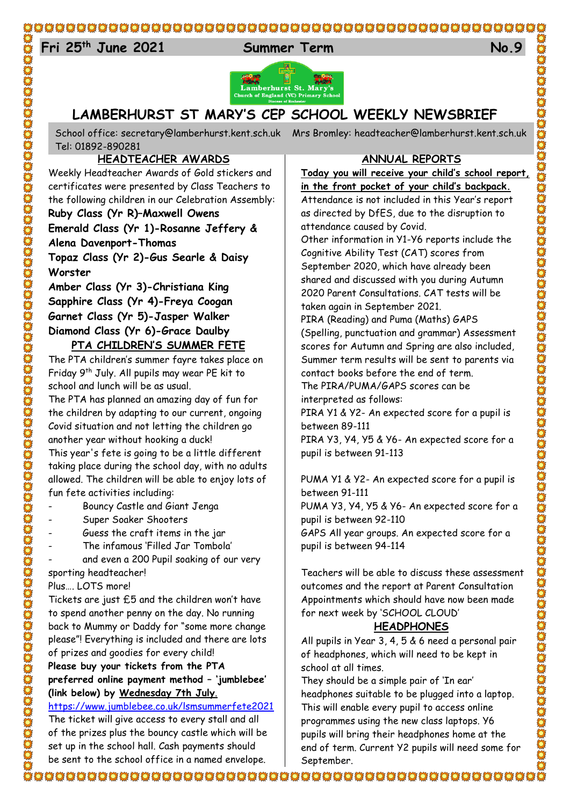# 

# 24 **Fri 25th June 2021 Summer Term No.9**





# **LAMBERHURST ST MARY'S CEP SCHOOL WEEKLY NEWSBRIEF**

School office: [secretary@lamberhurst.kent.sch.uk](mailto:secretary@lamberhurst.kent.sch.uk) Mrs Bromley: headteacher@lamberhurst.kent.sch.uk Tel: 01892-890281

## **HEADTEACHER AWARDS**

Weekly Headteacher Awards of Gold stickers and certificates were presented by Class Teachers to the following children in our Celebration Assembly:

### **Ruby Class (Yr R)–Maxwell Owens**

**Emerald Class (Yr 1)-Rosanne Jeffery & Alena Davenport-Thomas**

**Topaz Class (Yr 2)-Gus Searle & Daisy Worster**

**Amber Class (Yr 3)-Christiana King Sapphire Class (Yr 4)-Freya Coogan Garnet Class (Yr 5)-Jasper Walker Diamond Class (Yr 6)-Grace Daulby**

# **PTA CHILDREN'S SUMMER FETE**

The PTA children's summer fayre takes place on Friday 9th July. All pupils may wear PE kit to school and lunch will be as usual.

The PTA has planned an amazing day of fun for the children by adapting to our current, ongoing Covid situation and not letting the children go another year without hooking a duck! This year's fete is going to be a little different

taking place during the school day, with no adults allowed. The children will be able to enjoy lots of fun fete activities including:

- Bouncy Castle and Giant Jenga
- Super Soaker Shooters
- Guess the craft items in the jar
- The infamous 'Filled Jar Tombola'

and even a 200 Pupil soaking of our very

sporting headteacher!

Plus…. LOTS more!

Tickets are just £5 and the children won't have to spend another penny on the day. No running back to Mummy or Daddy for "some more change please"! Everything is included and there are lots of prizes and goodies for every child!

#### **Please buy your tickets from the PTA preferred online payment method – 'jumblebee' (link below) by Wednesday 7th July**.

<https://www.jumblebee.co.uk/lsmsummerfete2021>

The ticket will give access to every stall and all of the prizes plus the bouncy castle which will be set up in the school hall. Cash payments should be sent to the school office in a named envelope.

#### **ANNUAL REPORTS**

**Today you will receive your child's school report, in the front pocket of your child's backpack.**

Attendance is not included in this Year's report as directed by DfES, due to the disruption to attendance caused by Covid.

Other information in Y1-Y6 reports include the Cognitive Ability Test (CAT) scores from September 2020, which have already been shared and discussed with you during Autumn 2020 Parent Consultations. CAT tests will be taken again in September 2021.

PIRA (Reading) and Puma (Maths) GAPS (Spelling, punctuation and grammar) Assessment scores for Autumn and Spring are also included, Summer term results will be sent to parents via contact books before the end of term.

The PIRA/PUMA/GAPS scores can be interpreted as follows:

PIRA Y1 & Y2- An expected score for a pupil is between 89-111

CONDES CONDES CONDES DE CONDES DE CONDES DE CONDES DE CONDES DE CONDES DE CONDES DE CONDES DE CONDES DE CONDES

PIRA Y3, Y4, Y5 & Y6- An expected score for a pupil is between 91-113

PUMA Y1 & Y2- An expected score for a pupil is between 91-111

PUMA Y3, Y4, Y5 & Y6- An expected score for a pupil is between 92-110

GAPS All year groups. An expected score for a pupil is between 94-114

Teachers will be able to discuss these assessment outcomes and the report at Parent Consultation Appointments which should have now been made for next week by 'SCHOOL CLOUD'

### **HEADPHONES**

All pupils in Year 3, 4, 5 & 6 need a personal pair of headphones, which will need to be kept in school at all times.

They should be a simple pair of 'In ear' headphones suitable to be plugged into a laptop. This will enable every pupil to access online programmes using the new class laptops. Y6 pupils will bring their headphones home at the end of term. Current Y2 pupils will need some for September.